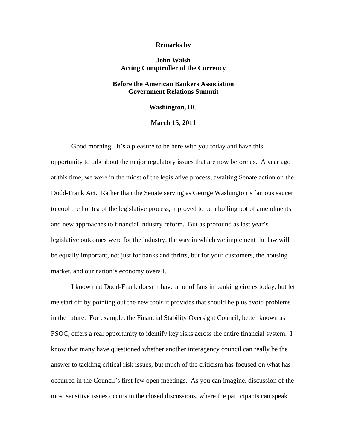#### **Remarks by**

# **John Walsh Acting Comptroller of the Currency**

# **Before the American Bankers Association Government Relations Summit**

### **Washington, DC**

## **March 15, 2011**

Good morning. It's a pleasure to be here with you today and have this opportunity to talk about the major regulatory issues that are now before us. A year ago at this time, we were in the midst of the legislative process, awaiting Senate action on the Dodd-Frank Act. Rather than the Senate serving as George Washington's famous saucer to cool the hot tea of the legislative process, it proved to be a boiling pot of amendments and new approaches to financial industry reform. But as profound as last year's legislative outcomes were for the industry, the way in which we implement the law will be equally important, not just for banks and thrifts, but for your customers, the housing market, and our nation's economy overall.

I know that Dodd-Frank doesn't have a lot of fans in banking circles today, but let me start off by pointing out the new tools it provides that should help us avoid problems in the future. For example, the Financial Stability Oversight Council, better known as FSOC, offers a real opportunity to identify key risks across the entire financial system. I know that many have questioned whether another interagency council can really be the answer to tackling critical risk issues, but much of the criticism has focused on what has occurred in the Council's first few open meetings. As you can imagine, discussion of the most sensitive issues occurs in the closed discussions, where the participants can speak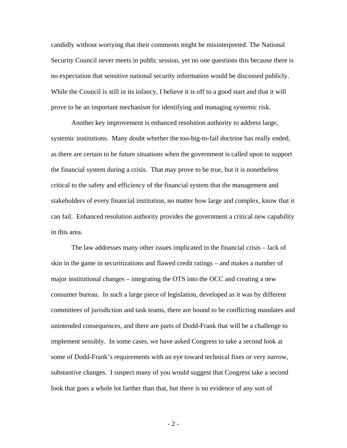candidly without worrying that their comments might be misinterpreted. The National Security Council never meets in public session, yet no one questions this because there is no expectation that sensitive national security information would be discussed publicly. While the Council is still in its infancy, I believe it is off to a good start and that it will prove to be an important mechanism for identifying and managing systemic risk.

Another key improvement is enhanced resolution authority to address large, systemic institutions. Many doubt whether the too-big-to-fail doctrine has really ended, as there are certain to be future situations when the government is called upon to support the financial system during a crisis. That may prove to be true, but it is nonetheless critical to the safety and efficiency of the financial system that the management and stakeholders of every financial institution, no matter how large and complex, know that it can fail. Enhanced resolution authority provides the government a critical new capability in this area.

The law addresses many other issues implicated in the financial crisis – lack of skin in the game in securitizations and flawed credit ratings – and makes a number of major institutional changes – integrating the OTS into the OCC and creating a new consumer bureau. In such a large piece of legislation, developed as it was by different committees of jurisdiction and task teams, there are bound to be conflicting mandates and unintended consequences, and there are parts of Dodd-Frank that will be a challenge to implement sensibly. In some cases, we have asked Congress to take a second look at some of Dodd-Frank's requirements with an eye toward technical fixes or very narrow, substantive changes. I suspect many of you would suggest that Congress take a second look that goes a whole lot farther than that, but there is no evidence of any sort of

- 2 -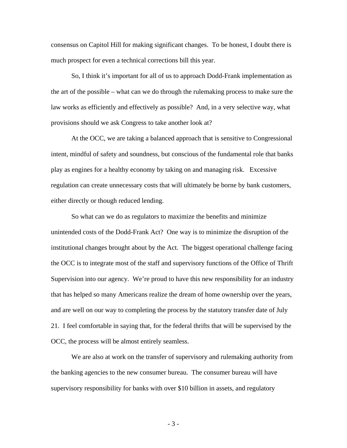consensus on Capitol Hill for making significant changes. To be honest, I doubt there is much prospect for even a technical corrections bill this year.

So, I think it's important for all of us to approach Dodd-Frank implementation as the art of the possible – what can we do through the rulemaking process to make sure the law works as efficiently and effectively as possible? And, in a very selective way, what provisions should we ask Congress to take another look at?

At the OCC, we are taking a balanced approach that is sensitive to Congressional intent, mindful of safety and soundness, but conscious of the fundamental role that banks play as engines for a healthy economy by taking on and managing risk. Excessive regulation can create unnecessary costs that will ultimately be borne by bank customers, either directly or though reduced lending.

So what can we do as regulators to maximize the benefits and minimize unintended costs of the Dodd-Frank Act? One way is to minimize the disruption of the institutional changes brought about by the Act. The biggest operational challenge facing the OCC is to integrate most of the staff and supervisory functions of the Office of Thrift Supervision into our agency. We're proud to have this new responsibility for an industry that has helped so many Americans realize the dream of home ownership over the years, and are well on our way to completing the process by the statutory transfer date of July 21. I feel comfortable in saying that, for the federal thrifts that will be supervised by the OCC, the process will be almost entirely seamless.

We are also at work on the transfer of supervisory and rulemaking authority from the banking agencies to the new consumer bureau. The consumer bureau will have supervisory responsibility for banks with over \$10 billion in assets, and regulatory

- 3 -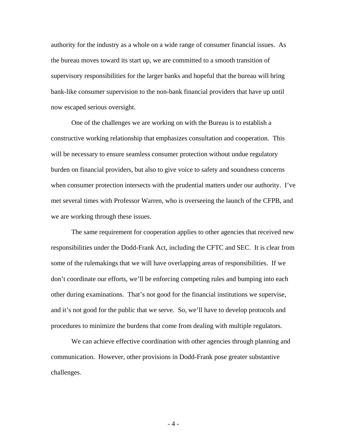authority for the industry as a whole on a wide range of consumer financial issues. As the bureau moves toward its start up, we are committed to a smooth transition of supervisory responsibilities for the larger banks and hopeful that the bureau will bring bank-like consumer supervision to the non-bank financial providers that have up until now escaped serious oversight.

One of the challenges we are working on with the Bureau is to establish a constructive working relationship that emphasizes consultation and cooperation. This will be necessary to ensure seamless consumer protection without undue regulatory burden on financial providers, but also to give voice to safety and soundness concerns when consumer protection intersects with the prudential matters under our authority. I've met several times with Professor Warren, who is overseeing the launch of the CFPB, and we are working through these issues.

The same requirement for cooperation applies to other agencies that received new responsibilities under the Dodd-Frank Act, including the CFTC and SEC. It is clear from some of the rulemakings that we will have overlapping areas of responsibilities. If we don't coordinate our efforts, we'll be enforcing competing rules and bumping into each other during examinations. That's not good for the financial institutions we supervise, and it's not good for the public that we serve. So, we'll have to develop protocols and procedures to minimize the burdens that come from dealing with multiple regulators.

We can achieve effective coordination with other agencies through planning and communication. However, other provisions in Dodd-Frank pose greater substantive challenges.

- 4 -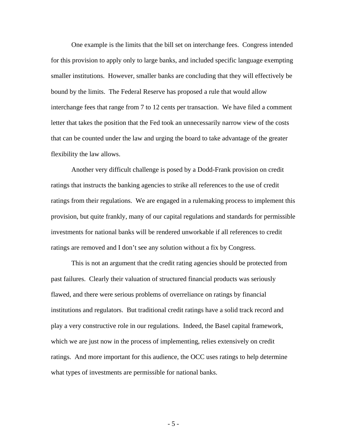One example is the limits that the bill set on interchange fees. Congress intended for this provision to apply only to large banks, and included specific language exempting smaller institutions. However, smaller banks are concluding that they will effectively be bound by the limits. The Federal Reserve has proposed a rule that would allow interchange fees that range from 7 to 12 cents per transaction. We have filed a comment letter that takes the position that the Fed took an unnecessarily narrow view of the costs that can be counted under the law and urging the board to take advantage of the greater flexibility the law allows.

Another very difficult challenge is posed by a Dodd-Frank provision on credit ratings that instructs the banking agencies to strike all references to the use of credit ratings from their regulations. We are engaged in a rulemaking process to implement this provision, but quite frankly, many of our capital regulations and standards for permissible investments for national banks will be rendered unworkable if all references to credit ratings are removed and I don't see any solution without a fix by Congress.

This is not an argument that the credit rating agencies should be protected from past failures. Clearly their valuation of structured financial products was seriously flawed, and there were serious problems of overreliance on ratings by financial institutions and regulators. But traditional credit ratings have a solid track record and play a very constructive role in our regulations. Indeed, the Basel capital framework, which we are just now in the process of implementing, relies extensively on credit ratings. And more important for this audience, the OCC uses ratings to help determine what types of investments are permissible for national banks.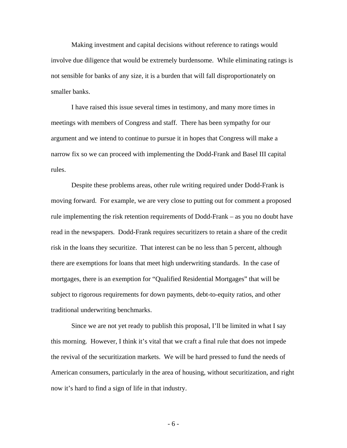Making investment and capital decisions without reference to ratings would involve due diligence that would be extremely burdensome. While eliminating ratings is not sensible for banks of any size, it is a burden that will fall disproportionately on smaller banks.

I have raised this issue several times in testimony, and many more times in meetings with members of Congress and staff. There has been sympathy for our argument and we intend to continue to pursue it in hopes that Congress will make a narrow fix so we can proceed with implementing the Dodd-Frank and Basel III capital rules.

Despite these problems areas, other rule writing required under Dodd-Frank is moving forward. For example, we are very close to putting out for comment a proposed rule implementing the risk retention requirements of Dodd-Frank – as you no doubt have read in the newspapers. Dodd-Frank requires securitizers to retain a share of the credit risk in the loans they securitize. That interest can be no less than 5 percent, although there are exemptions for loans that meet high underwriting standards. In the case of mortgages, there is an exemption for "Qualified Residential Mortgages" that will be subject to rigorous requirements for down payments, debt-to-equity ratios, and other traditional underwriting benchmarks.

Since we are not yet ready to publish this proposal, I'll be limited in what I say this morning. However, I think it's vital that we craft a final rule that does not impede the revival of the securitization markets. We will be hard pressed to fund the needs of American consumers, particularly in the area of housing, without securitization, and right now it's hard to find a sign of life in that industry.

- 6 -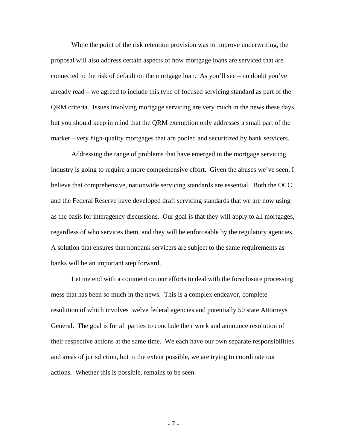While the point of the risk retention provision was to improve underwriting, the proposal will also address certain aspects of how mortgage loans are serviced that are connected to the risk of default on the mortgage loan. As you'll see – no doubt you've already read – we agreed to include this type of focused servicing standard as part of the QRM criteria. Issues involving mortgage servicing are very much in the news these days, but you should keep in mind that the QRM exemption only addresses a small part of the market – very high-quality mortgages that are pooled and securitized by bank servicers.

Addressing the range of problems that have emerged in the mortgage servicing industry is going to require a more comprehensive effort. Given the abuses we've seen, I believe that comprehensive, nationwide servicing standards are essential. Both the OCC and the Federal Reserve have developed draft servicing standards that we are now using as the basis for interagency discussions. Our goal is that they will apply to all mortgages, regardless of who services them, and they will be enforceable by the regulatory agencies. A solution that ensures that nonbank servicers are subject to the same requirements as banks will be an important step forward.

Let me end with a comment on our efforts to deal with the foreclosure processing mess that has been so much in the news. This is a complex endeavor, complete resolution of which involves twelve federal agencies and potentially 50 state Attorneys General. The goal is for all parties to conclude their work and announce resolution of their respective actions at the same time. We each have our own separate responsibilities and areas of jurisdiction, but to the extent possible, we are trying to coordinate our actions. Whether this is possible, remains to be seen.

- 7 -